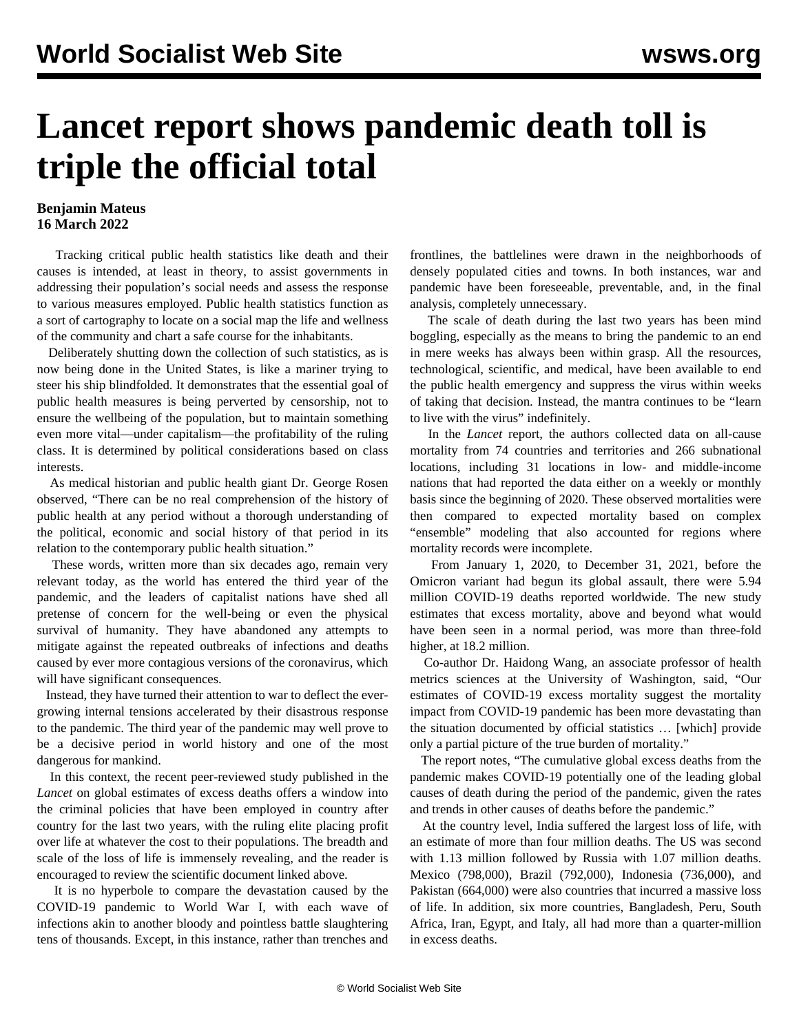## **Lancet report shows pandemic death toll is triple the official total**

## **Benjamin Mateus 16 March 2022**

 Tracking critical public health statistics like death and their causes is intended, at least in theory, to assist governments in addressing their population's social needs and assess the response to various measures employed. Public health statistics function as a sort of cartography to locate on a social map the life and wellness of the community and chart a safe course for the inhabitants.

 Deliberately shutting down the collection of such statistics, as is now being done in the United States, is like a mariner trying to steer his ship blindfolded. It demonstrates that the essential goal of public health measures is being perverted by censorship, not to ensure the wellbeing of the population, but to maintain something even more vital—under capitalism—the profitability of the ruling class. It is determined by political considerations based on class interests.

 As medical historian and public health giant Dr. George Rosen observed, "There can be no real comprehension of the history of public health at any period without a thorough understanding of the political, economic and social history of that period in its relation to the contemporary public health situation."

 These words, written more than six decades ago, remain very relevant today, as the world has entered the third year of the pandemic, and the leaders of capitalist nations have shed all pretense of concern for the well-being or even the physical survival of humanity. They have abandoned any attempts to mitigate against the repeated outbreaks of infections and deaths caused by ever more contagious versions of the coronavirus, which will have significant consequences.

 Instead, they have turned their attention to war to deflect the evergrowing internal tensions accelerated by their disastrous response to the pandemic. The third year of the pandemic may well prove to be a decisive period in world history and one of the most dangerous for mankind.

 In this context, the recent [peer-reviewed study](https://www.thelancet.com/journals/lancet/article/PIIS0140-6736(2102796-3/fulltext) published in the *Lancet* on global estimates of excess deaths offers a window into the criminal policies that have been employed in country after country for the last two years, with the ruling elite placing profit over life at whatever the cost to their populations. The breadth and scale of the loss of life is immensely revealing, and the reader is encouraged to review the scientific document linked above.

 It is no hyperbole to compare the devastation caused by the COVID-19 pandemic to World War I, with each wave of infections akin to another bloody and pointless battle slaughtering tens of thousands. Except, in this instance, rather than trenches and frontlines, the battlelines were drawn in the neighborhoods of densely populated cities and towns. In both instances, war and pandemic have been foreseeable, preventable, and, in the final analysis, completely unnecessary.

 The scale of death during the last two years has been mind boggling, especially as the means to bring the pandemic to an end in mere weeks has always been within grasp. All the resources, technological, scientific, and medical, have been available to end the public health emergency and suppress the virus within weeks of taking that decision. Instead, the mantra continues to be "learn to live with the virus" indefinitely.

 In the *Lancet* report, the authors collected data on all-cause mortality from 74 countries and territories and 266 subnational locations, including 31 locations in low- and middle-income nations that had reported the data either on a weekly or monthly basis since the beginning of 2020. These observed mortalities were then compared to expected mortality based on complex "ensemble" modeling that also accounted for regions where mortality records were incomplete.

 From January 1, 2020, to December 31, 2021, before the Omicron variant had begun its global assault, there were 5.94 million COVID-19 deaths reported worldwide. The new study estimates that excess mortality, above and beyond what would have been seen in a normal period, was more than three-fold higher, at 18.2 million.

 Co-author Dr. Haidong Wang, an associate professor of health metrics sciences at the University of Washington, said, "Our estimates of COVID-19 excess mortality suggest the mortality impact from COVID-19 pandemic has been more devastating than the situation documented by official statistics … [which] provide only a partial picture of the true burden of mortality."

 The report notes, "The cumulative global excess deaths from the pandemic makes COVID-19 potentially one of the leading global causes of death during the period of the pandemic, given the rates and trends in other causes of deaths before the pandemic."

 At the country level, India suffered the largest loss of life, with an estimate of more than four million deaths. The US was second with 1.13 million followed by Russia with 1.07 million deaths. Mexico (798,000), Brazil (792,000), Indonesia (736,000), and Pakistan (664,000) were also countries that incurred a massive loss of life. In addition, six more countries, Bangladesh, Peru, South Africa, Iran, Egypt, and Italy, all had more than a quarter-million in excess deaths.